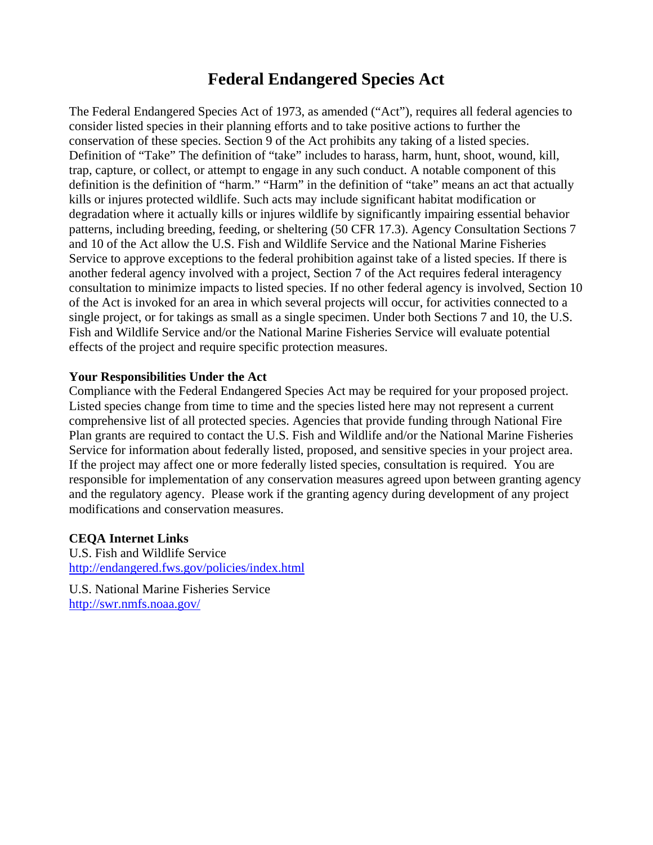# **Federal Endangered Species Act**

The Federal Endangered Species Act of 1973, as amended ("Act"), requires all federal agencies to consider listed species in their planning efforts and to take positive actions to further the conservation of these species. Section 9 of the Act prohibits any taking of a listed species. Definition of "Take" The definition of "take" includes to harass, harm, hunt, shoot, wound, kill, trap, capture, or collect, or attempt to engage in any such conduct. A notable component of this definition is the definition of "harm." "Harm" in the definition of "take" means an act that actually kills or injures protected wildlife. Such acts may include significant habitat modification or degradation where it actually kills or injures wildlife by significantly impairing essential behavior patterns, including breeding, feeding, or sheltering (50 CFR 17.3). Agency Consultation Sections 7 and 10 of the Act allow the U.S. Fish and Wildlife Service and the National Marine Fisheries Service to approve exceptions to the federal prohibition against take of a listed species. If there is another federal agency involved with a project, Section 7 of the Act requires federal interagency consultation to minimize impacts to listed species. If no other federal agency is involved, Section 10 of the Act is invoked for an area in which several projects will occur, for activities connected to a single project, or for takings as small as a single specimen. Under both Sections 7 and 10, the U.S. Fish and Wildlife Service and/or the National Marine Fisheries Service will evaluate potential effects of the project and require specific protection measures.

#### **Your Responsibilities Under the Act**

Compliance with the Federal Endangered Species Act may be required for your proposed project. Listed species change from time to time and the species listed here may not represent a current comprehensive list of all protected species. Agencies that provide funding through National Fire Plan grants are required to contact the U.S. Fish and Wildlife and/or the National Marine Fisheries Service for information about federally listed, proposed, and sensitive species in your project area. If the project may affect one or more federally listed species, consultation is required. You are responsible for implementation of any conservation measures agreed upon between granting agency and the regulatory agency. Please work if the granting agency during development of any project modifications and conservation measures.

## **CEQA Internet Links**

U.S. Fish and Wildlife Service http://endangered.fws.gov/policies/index.html

U.S. National Marine Fisheries Service http://swr.nmfs.noaa.gov/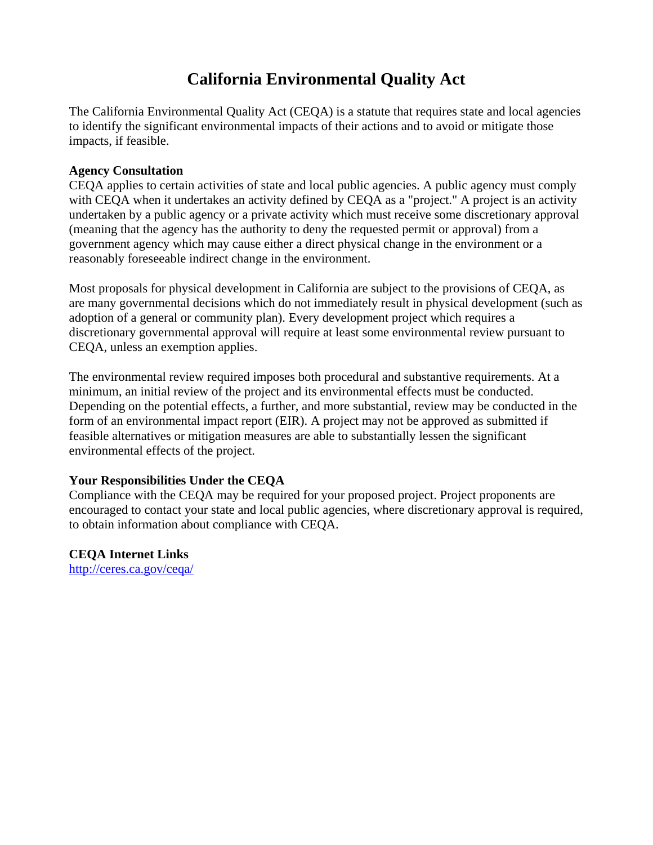# **California Environmental Quality Act**

The California Environmental Quality Act (CEQA) is a statute that requires state and local agencies to identify the significant environmental impacts of their actions and to avoid or mitigate those impacts, if feasible.

#### **Agency Consultation**

CEQA applies to certain activities of state and local public agencies. A public agency must comply with CEQA when it undertakes an activity defined by CEQA as a "project." A project is an activity undertaken by a public agency or a private activity which must receive some discretionary approval (meaning that the agency has the authority to deny the requested permit or approval) from a government agency which may cause either a direct physical change in the environment or a reasonably foreseeable indirect change in the environment.

Most proposals for physical development in California are subject to the provisions of CEQA, as are many governmental decisions which do not immediately result in physical development (such as adoption of a general or community plan). Every development project which requires a discretionary governmental approval will require at least some environmental review pursuant to CEQA, unless an exemption applies.

The environmental review required imposes both procedural and substantive requirements. At a minimum, an initial review of the project and its environmental effects must be conducted. Depending on the potential effects, a further, and more substantial, review may be conducted in the form of an environmental impact report (EIR). A project may not be approved as submitted if feasible alternatives or mitigation measures are able to substantially lessen the significant environmental effects of the project.

## **Your Responsibilities Under the CEQA**

Compliance with the CEQA may be required for your proposed project. Project proponents are encouraged to contact your state and local public agencies, where discretionary approval is required, to obtain information about compliance with CEQA.

**CEQA Internet Links**

http://ceres.ca.gov/ceqa/